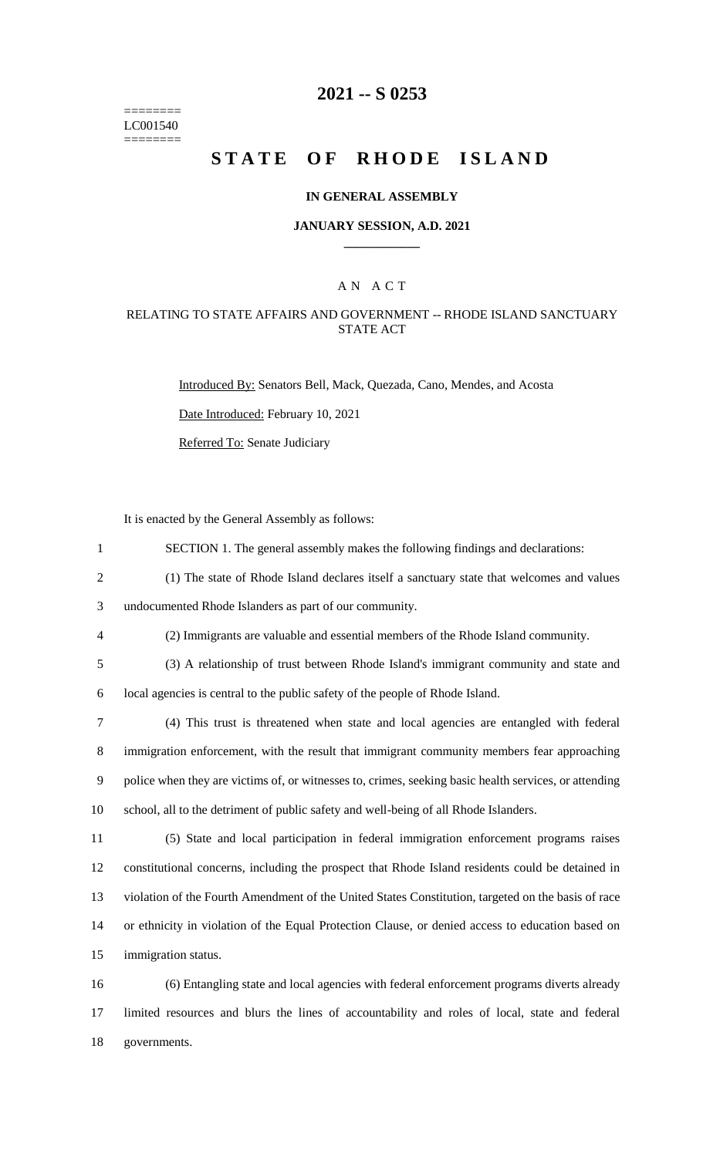======== LC001540 ========

## **2021 -- S 0253**

# **STATE OF RHODE ISLAND**

#### **IN GENERAL ASSEMBLY**

#### **JANUARY SESSION, A.D. 2021 \_\_\_\_\_\_\_\_\_\_\_\_**

### A N A C T

### RELATING TO STATE AFFAIRS AND GOVERNMENT -- RHODE ISLAND SANCTUARY STATE ACT

Introduced By: Senators Bell, Mack, Quezada, Cano, Mendes, and Acosta

Date Introduced: February 10, 2021

Referred To: Senate Judiciary

It is enacted by the General Assembly as follows:

- 1 SECTION 1. The general assembly makes the following findings and declarations:
- 2 (1) The state of Rhode Island declares itself a sanctuary state that welcomes and values

3 undocumented Rhode Islanders as part of our community.

- 4 (2) Immigrants are valuable and essential members of the Rhode Island community.
- 5 (3) A relationship of trust between Rhode Island's immigrant community and state and 6 local agencies is central to the public safety of the people of Rhode Island.
- 7 (4) This trust is threatened when state and local agencies are entangled with federal 8 immigration enforcement, with the result that immigrant community members fear approaching 9 police when they are victims of, or witnesses to, crimes, seeking basic health services, or attending 10 school, all to the detriment of public safety and well-being of all Rhode Islanders.
- 11 (5) State and local participation in federal immigration enforcement programs raises 12 constitutional concerns, including the prospect that Rhode Island residents could be detained in 13 violation of the Fourth Amendment of the United States Constitution, targeted on the basis of race 14 or ethnicity in violation of the Equal Protection Clause, or denied access to education based on 15 immigration status.

16 (6) Entangling state and local agencies with federal enforcement programs diverts already 17 limited resources and blurs the lines of accountability and roles of local, state and federal 18 governments.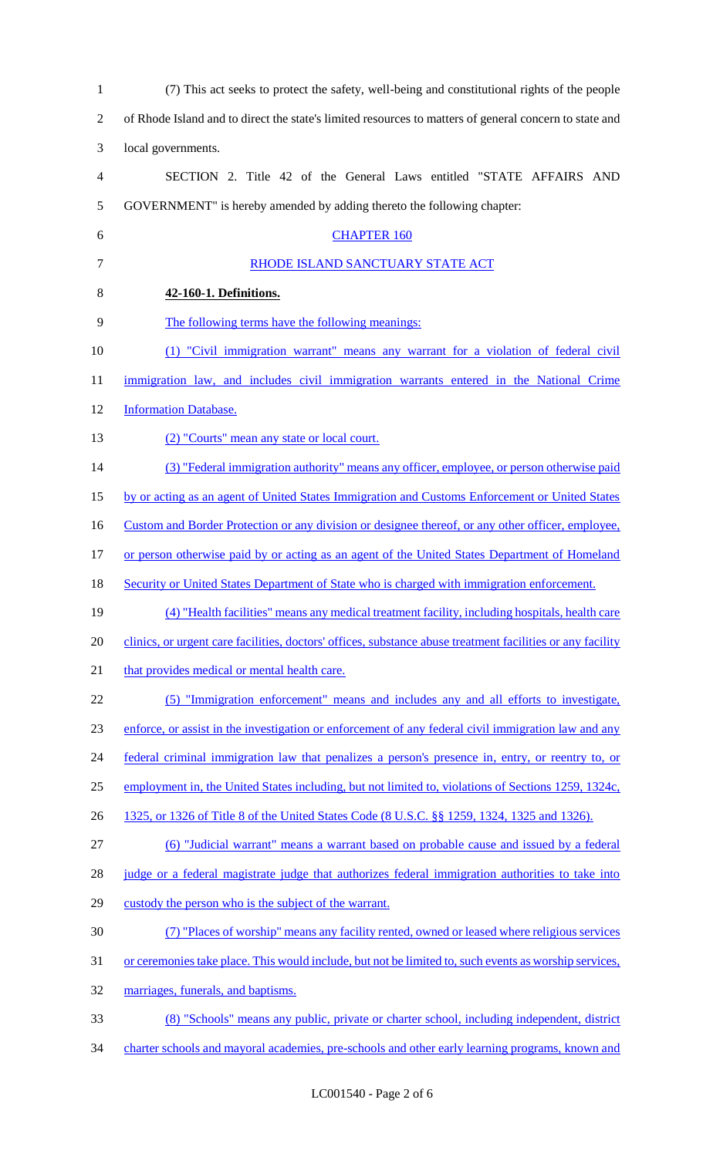| $\mathbf{1}$             | (7) This act seeks to protect the safety, well-being and constitutional rights of the people               |
|--------------------------|------------------------------------------------------------------------------------------------------------|
| $\overline{2}$           | of Rhode Island and to direct the state's limited resources to matters of general concern to state and     |
| 3                        | local governments.                                                                                         |
| $\overline{\mathcal{A}}$ | SECTION 2. Title 42 of the General Laws entitled "STATE AFFAIRS AND                                        |
| 5                        | GOVERNMENT" is hereby amended by adding thereto the following chapter:                                     |
| 6                        | <b>CHAPTER 160</b>                                                                                         |
| $\tau$                   | RHODE ISLAND SANCTUARY STATE ACT                                                                           |
| 8                        | 42-160-1. Definitions.                                                                                     |
| 9                        | The following terms have the following meanings:                                                           |
| 10                       | (1) "Civil immigration warrant" means any warrant for a violation of federal civil                         |
| 11                       | immigration law, and includes civil immigration warrants entered in the National Crime                     |
| 12                       | <b>Information Database.</b>                                                                               |
| 13                       | (2) "Courts" mean any state or local court.                                                                |
| 14                       | (3) "Federal immigration authority" means any officer, employee, or person otherwise paid                  |
| 15                       | by or acting as an agent of United States Immigration and Customs Enforcement or United States             |
| 16                       | Custom and Border Protection or any division or designee thereof, or any other officer, employee,          |
| 17                       | or person otherwise paid by or acting as an agent of the United States Department of Homeland              |
| 18                       | <b>Security or United States Department of State who is charged with immigration enforcement.</b>          |
| 19                       | (4) "Health facilities" means any medical treatment facility, including hospitals, health care             |
| 20                       | clinics, or urgent care facilities, doctors' offices, substance abuse treatment facilities or any facility |
| 21                       | that provides medical or mental health care.                                                               |
| 22                       | (5) "Immigration enforcement" means and includes any and all efforts to investigate,                       |
| 23                       | enforce, or assist in the investigation or enforcement of any federal civil immigration law and any        |
| 24                       | federal criminal immigration law that penalizes a person's presence in, entry, or reentry to, or           |
| 25                       | employment in, the United States including, but not limited to, violations of Sections 1259, 1324c,        |
| 26                       | 1325, or 1326 of Title 8 of the United States Code (8 U.S.C. §§ 1259, 1324, 1325 and 1326).                |
| 27                       | (6) "Judicial warrant" means a warrant based on probable cause and issued by a federal                     |
| 28                       | judge or a federal magistrate judge that authorizes federal immigration authorities to take into           |
| 29                       | custody the person who is the subject of the warrant.                                                      |
| 30                       | (7) "Places of worship" means any facility rented, owned or leased where religious services                |
| 31                       | or ceremonies take place. This would include, but not be limited to, such events as worship services,      |
| 32                       | marriages, funerals, and baptisms.                                                                         |
| 33                       | (8) "Schools" means any public, private or charter school, including independent, district                 |
| 34                       | charter schools and mayoral academies, pre-schools and other early learning programs, known and            |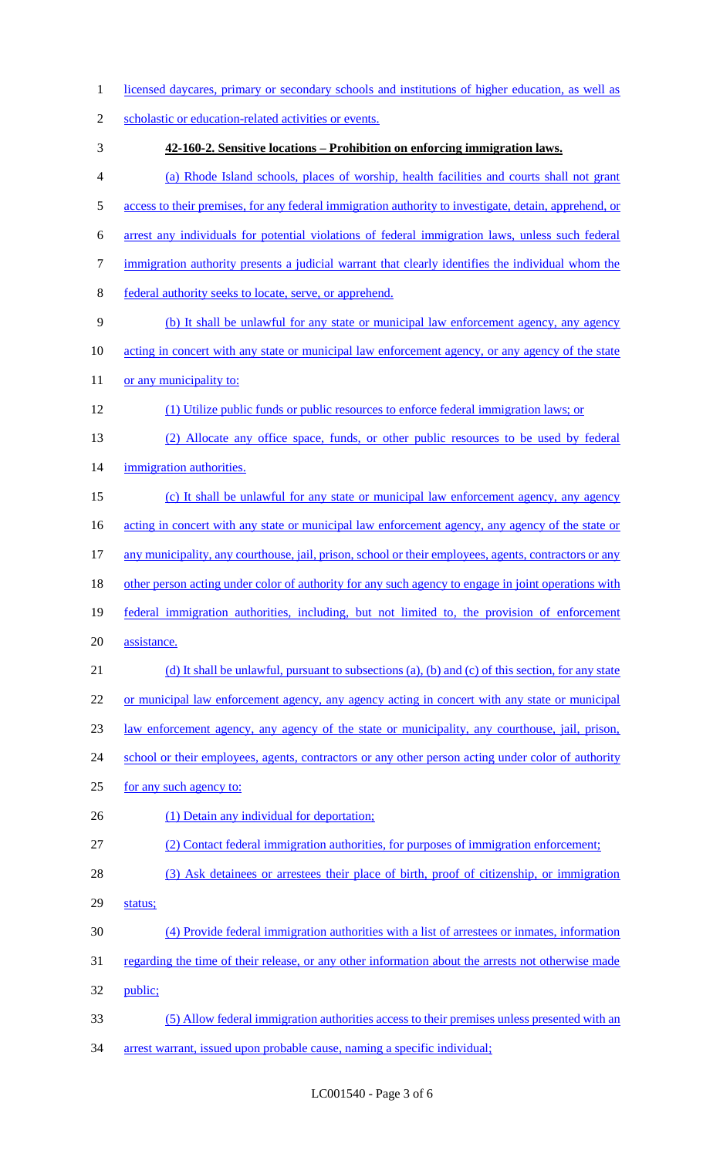| 1  | licensed daycares, primary or secondary schools and institutions of higher education, as well as        |
|----|---------------------------------------------------------------------------------------------------------|
| 2  | scholastic or education-related activities or events.                                                   |
| 3  | 42-160-2. Sensitive locations – Prohibition on enforcing immigration laws.                              |
| 4  | (a) Rhode Island schools, places of worship, health facilities and courts shall not grant               |
| 5  | access to their premises, for any federal immigration authority to investigate, detain, apprehend, or   |
| 6  | arrest any individuals for potential violations of federal immigration laws, unless such federal        |
| 7  | immigration authority presents a judicial warrant that clearly identifies the individual whom the       |
| 8  | federal authority seeks to locate, serve, or apprehend.                                                 |
| 9  | (b) It shall be unlawful for any state or municipal law enforcement agency, any agency                  |
| 10 | acting in concert with any state or municipal law enforcement agency, or any agency of the state        |
| 11 | or any municipality to:                                                                                 |
| 12 | (1) Utilize public funds or public resources to enforce federal immigration laws; or                    |
| 13 | (2) Allocate any office space, funds, or other public resources to be used by federal                   |
| 14 | immigration authorities.                                                                                |
| 15 | (c) It shall be unlawful for any state or municipal law enforcement agency, any agency                  |
| 16 | <u>acting in concert with any state or municipal law enforcement agency, any agency of the state or</u> |
| 17 | any municipality, any courthouse, jail, prison, school or their employees, agents, contractors or any   |
| 18 | other person acting under color of authority for any such agency to engage in joint operations with     |
| 19 | federal immigration authorities, including, but not limited to, the provision of enforcement            |
| 20 | assistance.                                                                                             |
| 21 | (d) It shall be unlawful, pursuant to subsections (a), (b) and (c) of this section, for any state       |
| 22 | or municipal law enforcement agency, any agency acting in concert with any state or municipal           |
| 23 | <u>law enforcement agency, any agency of the state or municipality, any courthouse, jail, prison,</u>   |
| 24 | school or their employees, agents, contractors or any other person acting under color of authority      |
| 25 | for any such agency to:                                                                                 |
| 26 | (1) Detain any individual for deportation;                                                              |
| 27 | (2) Contact federal immigration authorities, for purposes of immigration enforcement;                   |
| 28 | (3) Ask detainees or arrestees their place of birth, proof of citizenship, or immigration               |
| 29 | status;                                                                                                 |
| 30 | (4) Provide federal immigration authorities with a list of arrestees or inmates, information            |
| 31 | regarding the time of their release, or any other information about the arrests not otherwise made      |
| 32 | public;                                                                                                 |
| 33 | (5) Allow federal immigration authorities access to their premises unless presented with an             |
| 34 | arrest warrant, issued upon probable cause, naming a specific individual;                               |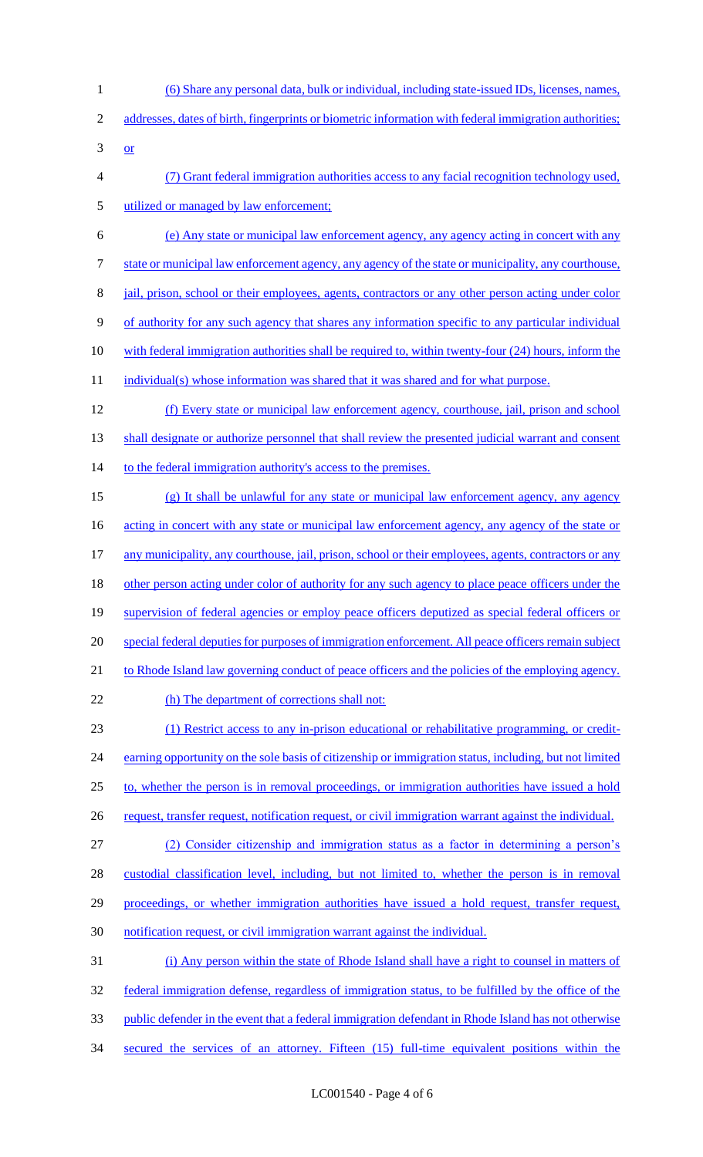1 (6) Share any personal data, bulk or individual, including state-issued IDs, licenses, names, 2 addresses, dates of birth, fingerprints or biometric information with federal immigration authorities;  $3 \quad or \quad$ 4 (7) Grant federal immigration authorities access to any facial recognition technology used, 5 utilized or managed by law enforcement; 6 (e) Any state or municipal law enforcement agency, any agency acting in concert with any 7 state or municipal law enforcement agency, any agency of the state or municipality, any courthouse, 8 jail, prison, school or their employees, agents, contractors or any other person acting under color 9 of authority for any such agency that shares any information specific to any particular individual 10 with federal immigration authorities shall be required to, within twenty-four (24) hours, inform the 11 individual(s) whose information was shared that it was shared and for what purpose. 12 (f) Every state or municipal law enforcement agency, courthouse, jail, prison and school 13 shall designate or authorize personnel that shall review the presented judicial warrant and consent 14 to the federal immigration authority's access to the premises. 15 (g) It shall be unlawful for any state or municipal law enforcement agency, any agency 16 acting in concert with any state or municipal law enforcement agency, any agency of the state or 17 any municipality, any courthouse, jail, prison, school or their employees, agents, contractors or any 18 other person acting under color of authority for any such agency to place peace officers under the 19 supervision of federal agencies or employ peace officers deputized as special federal officers or 20 special federal deputies for purposes of immigration enforcement. All peace officers remain subject 21 to Rhode Island law governing conduct of peace officers and the policies of the employing agency. 22 (h) The department of corrections shall not: 23 (1) Restrict access to any in-prison educational or rehabilitative programming, or credit-24 earning opportunity on the sole basis of citizenship or immigration status, including, but not limited 25 to, whether the person is in removal proceedings, or immigration authorities have issued a hold 26 request, transfer request, notification request, or civil immigration warrant against the individual. 27 (2) Consider citizenship and immigration status as a factor in determining a person's 28 custodial classification level, including, but not limited to, whether the person is in removal 29 proceedings, or whether immigration authorities have issued a hold request, transfer request, 30 notification request, or civil immigration warrant against the individual. 31 (i) Any person within the state of Rhode Island shall have a right to counsel in matters of 32 federal immigration defense, regardless of immigration status, to be fulfilled by the office of the 33 public defender in the event that a federal immigration defendant in Rhode Island has not otherwise 34 secured the services of an attorney. Fifteen (15) full-time equivalent positions within the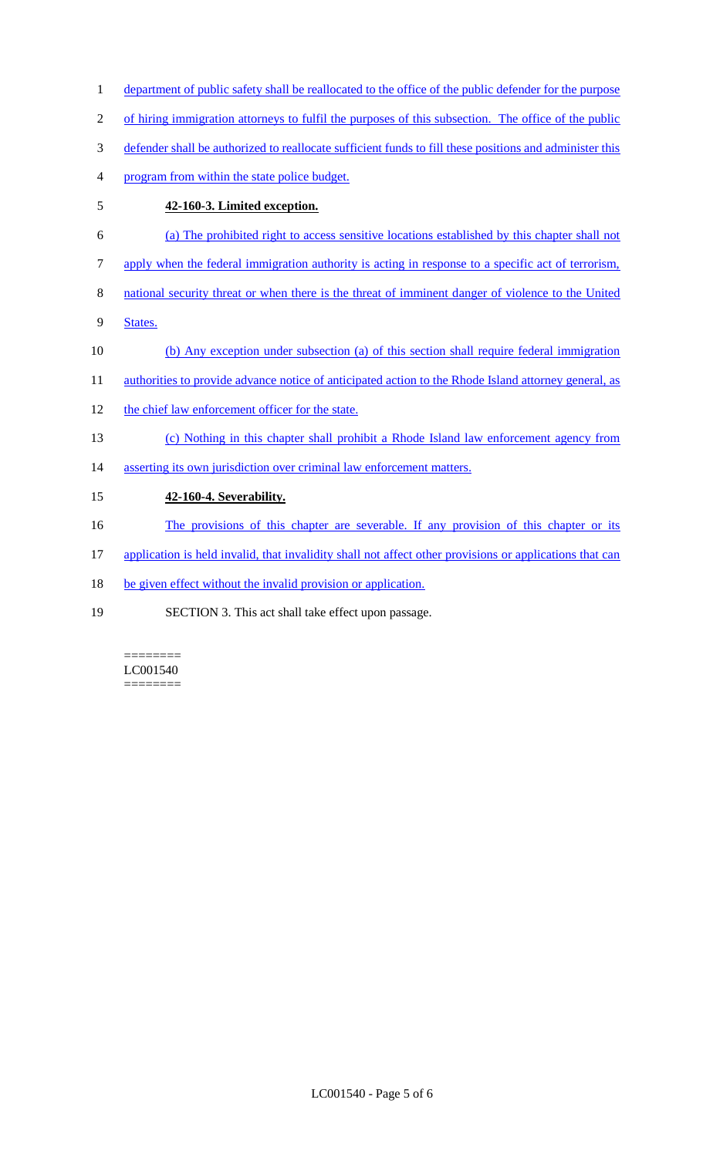1 department of public safety shall be reallocated to the office of the public defender for the purpose 2 of hiring immigration attorneys to fulfil the purposes of this subsection. The office of the public 3 defender shall be authorized to reallocate sufficient funds to fill these positions and administer this 4 program from within the state police budget. 5 **42-160-3. Limited exception.**  6 (a) The prohibited right to access sensitive locations established by this chapter shall not 7 apply when the federal immigration authority is acting in response to a specific act of terrorism, 8 national security threat or when there is the threat of imminent danger of violence to the United 9 States. 10 (b) Any exception under subsection (a) of this section shall require federal immigration 11 authorities to provide advance notice of anticipated action to the Rhode Island attorney general, as 12 the chief law enforcement officer for the state. 13 (c) Nothing in this chapter shall prohibit a Rhode Island law enforcement agency from 14 asserting its own jurisdiction over criminal law enforcement matters. 15 **42-160-4. Severability.**  16 The provisions of this chapter are severable. If any provision of this chapter or its 17 application is held invalid, that invalidity shall not affect other provisions or applications that can 18 be given effect without the invalid provision or application. 19 SECTION 3. This act shall take effect upon passage.

======== LC001540 ========